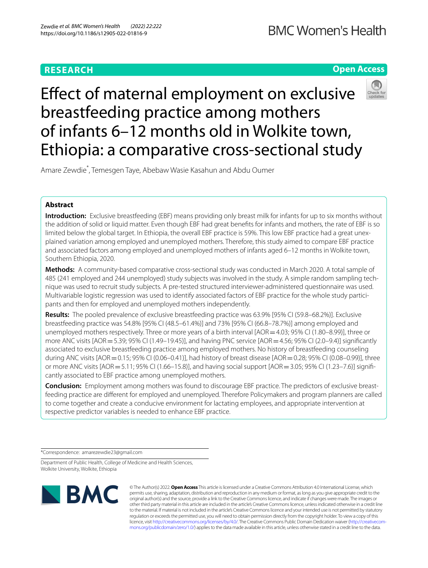## **RESEARCH**

**Open Access**

# Efect of maternal employment on exclusive breastfeeding practice among mothers of infants 6–12 months old in Wolkite town, Ethiopia: a comparative cross-sectional study

Amare Zewdie\* , Temesgen Taye, Abebaw Wasie Kasahun and Abdu Oumer

## **Abstract**

**Introduction:** Exclusive breastfeeding (EBF) means providing only breast milk for infants for up to six months without the addition of solid or liquid matter. Even though EBF had great benefts for infants and mothers, the rate of EBF is so limited below the global target. In Ethiopia, the overall EBF practice is 59%. This low EBF practice had a great unexplained variation among employed and unemployed mothers. Therefore, this study aimed to compare EBF practice and associated factors among employed and unemployed mothers of infants aged 6–12 months in Wolkite town, Southern Ethiopia, 2020.

**Methods:** A community-based comparative cross-sectional study was conducted in March 2020. A total sample of 485 (241 employed and 244 unemployed) study subjects was involved in the study. A simple random sampling technique was used to recruit study subjects. A pre-tested structured interviewer-administered questionnaire was used. Multivariable logistic regression was used to identify associated factors of EBF practice for the whole study participants and then for employed and unemployed mothers independently.

**Results:** The pooled prevalence of exclusive breastfeeding practice was 63.9% [95% CI (59.8–68.2%)]. Exclusive breastfeeding practice was 54.8% [95% CI (48.5–61.4%)] and 73% [95% CI (66.8–78.7%)] among employed and unemployed mothers respectively. Three or more years of a birth interval [AOR = 4.03; 95% CI (1.80–8.99)], three or more ANC visits [AOR = 5.39; 95% CI (1.49–19.45)], and having PNC service [AOR = 4.56; 95% CI (2.0–9.4)] significantly associated to exclusive breastfeeding practice among employed mothers. No history of breastfeeding counseling during ANC visits  $[AOR = 0.15; 95\% \text{ CI } (0.06-0.41)]$ , had history of breast disease  $[AOR = 0.28; 95\% \text{ CI } (0.08-0.99)]$ , three or more ANC visits [AOR=5.11; 95% CI (1.66–15.8)], and having social support [AOR=3.05; 95% CI (1.23–7.6)] signifcantly associated to EBF practice among unemployed mothers.

**Conclusion:** Employment among mothers was found to discourage EBF practice. The predictors of exclusive breastfeeding practice are diferent for employed and unemployed. Therefore Policymakers and program planners are called to come together and create a conducive environment for lactating employees, and appropriate intervention at respective predictor variables is needed to enhance EBF practice.

\*Correspondence: amarezewdie23@gmail.com

Department of Public Health, College of Medicine and Health Sciences, Wolkite University, Wolkite, Ethiopia



© The Author(s) 2022. **Open Access** This article is licensed under a Creative Commons Attribution 4.0 International License, which permits use, sharing, adaptation, distribution and reproduction in any medium or format, as long as you give appropriate credit to the original author(s) and the source, provide a link to the Creative Commons licence, and indicate if changes were made. The images or other third party material in this article are included in the article's Creative Commons licence, unless indicated otherwise in a credit line to the material. If material is not included in the article's Creative Commons licence and your intended use is not permitted by statutory regulation or exceeds the permitted use, you will need to obtain permission directly from the copyright holder. To view a copy of this licence, visit [http://creativecommons.org/licenses/by/4.0/.](http://creativecommons.org/licenses/by/4.0/) The Creative Commons Public Domain Dedication waiver ([http://creativecom](http://creativecommons.org/publicdomain/zero/1.0/)[mons.org/publicdomain/zero/1.0/\)](http://creativecommons.org/publicdomain/zero/1.0/) applies to the data made available in this article, unless otherwise stated in a credit line to the data.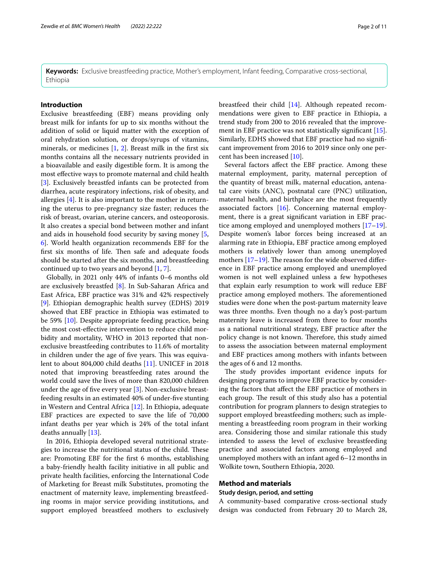**Keywords:** Exclusive breastfeeding practice, Mother's employment, Infant feeding, Comparative cross-sectional, Ethiopia

## **Introduction**

Exclusive breastfeeding (EBF) means providing only breast milk for infants for up to six months without the addition of solid or liquid matter with the exception of oral rehydration solution, or drops/syrups of vitamins, minerals, or medicines [[1,](#page-9-0) [2](#page-9-1)]. Breast milk in the frst six months contains all the necessary nutrients provided in a bioavailable and easily digestible form. It is among the most efective ways to promote maternal and child health [[3\]](#page-9-2). Exclusively breastfed infants can be protected from diarrhea, acute respiratory infections, risk of obesity, and allergies [\[4\]](#page-9-3). It is also important to the mother in returning the uterus to pre-pregnancy size faster; reduces the risk of breast, ovarian, uterine cancers, and osteoporosis. It also creates a special bond between mother and infant and aids in household food security by saving money [\[5](#page-9-4), [6\]](#page-9-5). World health organization recommends EBF for the first six months of life. Then safe and adequate foods should be started after the six months, and breastfeeding continued up to two years and beyond [\[1](#page-9-0), [7\]](#page-9-6).

Globally, in 2021 only 44% of infants 0–6 months old are exclusively breastfed [[8\]](#page-9-7). In Sub-Saharan Africa and East Africa, EBF practice was 31% and 42% respectively [[9\]](#page-9-8). Ethiopian demographic health survey (EDHS) 2019 showed that EBF practice in Ethiopia was estimated to be 59% [[10\]](#page-9-9). Despite appropriate feeding practice, being the most cost-efective intervention to reduce child morbidity and mortality, WHO in 2013 reported that nonexclusive breastfeeding contributes to 11.6% of mortality in children under the age of five years. This was equivalent to about 804,000 child deaths [\[11\]](#page-9-10). UNICEF in 2018 noted that improving breastfeeding rates around the world could save the lives of more than 820,000 children under the age of fve every year [[3\]](#page-9-2). Non-exclusive breastfeeding results in an estimated 40% of under‐fve stunting in Western and Central Africa [[12\]](#page-9-11). In Ethiopia, adequate EBF practices are expected to save the life of 70,000 infant deaths per year which is 24% of the total infant deaths annually [[13\]](#page-9-12).

In 2016, Ethiopia developed several nutritional strategies to increase the nutritional status of the child. These are: Promoting EBF for the frst 6 months, establishing a baby-friendly health facility initiative in all public and private health facilities, enforcing the International Code of Marketing for Breast milk Substitutes, promoting the enactment of maternity leave, implementing breastfeeding rooms in major service providing institutions, and support employed breastfeed mothers to exclusively breastfeed their child [[14\]](#page-9-13). Although repeated recommendations were given to EBF practice in Ethiopia, a trend study from 200 to 2016 revealed that the improve-ment in EBF practice was not statistically significant [\[15](#page-9-14)]. Similarly, EDHS showed that EBF practice had no signifcant improvement from 2016 to 2019 since only one percent has been increased [\[10](#page-9-9)].

Several factors afect the EBF practice. Among these maternal employment, parity, maternal perception of the quantity of breast milk, maternal education, antenatal care visits (ANC), postnatal care (PNC) utilization, maternal health, and birthplace are the most frequently associated factors [[16](#page-9-15)]. Concerning maternal employment, there is a great signifcant variation in EBF practice among employed and unemployed mothers [[17](#page-9-16)[–19](#page-9-17)]. Despite women's labor forces being increased at an alarming rate in Ethiopia, EBF practice among employed mothers is relatively lower than among unemployed mothers  $[17–19]$  $[17–19]$  $[17–19]$ . The reason for the wide observed difference in EBF practice among employed and unemployed women is not well explained unless a few hypotheses that explain early resumption to work will reduce EBF practice among employed mothers. The aforementioned studies were done when the post-partum maternity leave was three months. Even though no a day's post-partum maternity leave is increased from three to four months as a national nutritional strategy, EBF practice after the policy change is not known. Therefore, this study aimed to assess the association between maternal employment and EBF practices among mothers with infants between the ages of 6 and 12 months.

The study provides important evidence inputs for designing programs to improve EBF practice by considering the factors that afect the EBF practice of mothers in each group. The result of this study also has a potential contribution for program planners to design strategies to support employed breastfeeding mothers; such as implementing a breastfeeding room program in their working area. Considering those and similar rationale this study intended to assess the level of exclusive breastfeeding practice and associated factors among employed and unemployed mothers with an infant aged 6–12 months in Wolkite town, Southern Ethiopia, 2020.

#### **Method and materials**

## **Study design, period, and setting**

A community-based comparative cross-sectional study design was conducted from February 20 to March 28,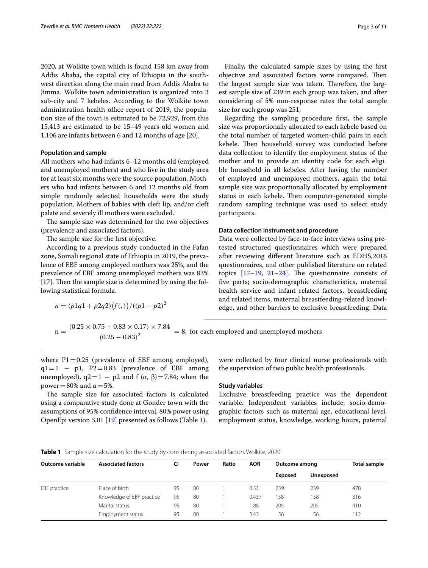2020, at Wolkite town which is found 158 km away from Addis Ababa, the capital city of Ethiopia in the southwest direction along the main road from Addis Ababa to Jimma. Wolkite town administration is organized into 3 sub-city and 7 kebeles. According to the Wolkite town administration health office report of 2019, the population size of the town is estimated to be 72,929, from this 15,413 are estimated to be 15–49 years old women and 1,106 are infants between 6 and 12 months of age [[20\]](#page-9-18).

#### **Population and sample**

All mothers who had infants 6–12 months old (employed and unemployed mothers) and who live in the study area for at least six months were the source population. Mothers who had infants between 6 and 12 months old from simple randomly selected households were the study population. Mothers of babies with cleft lip, and/or cleft palate and severely ill mothers were excluded.

The sample size was determined for the two objectives (prevalence and associated factors).

The sample size for the first objective.

According to a previous study conducted in the Fafan zone, Somali regional state of Ethiopia in 2019, the prevalence of EBF among employed mothers was 25%, and the prevalence of EBF among unemployed mothers was 83%  $[17]$  $[17]$ . Then the sample size is determined by using the following statistical formula.

 $n = (p1q1 + p2q2)(f())}/((p1 - p2)^2)$ 

Finally, the calculated sample sizes by using the frst objective and associated factors were compared. Then the largest sample size was taken. Therefore, the largest sample size of 239 in each group was taken, and after considering of 5% non-response rates the total sample size for each group was 251,

Regarding the sampling procedure frst, the sample size was proportionally allocated to each kebele based on the total number of targeted women-child pairs in each kebele. Then household survey was conducted before data collection to identify the employment status of the mother and to provide an identity code for each eligible household in all kebeles. After having the number of employed and unemployed mothers, again the total sample size was proportionally allocated by employment status in each kebele. Then computer-generated simple random sampling technique was used to select study participants.

#### **Data collection instrument and procedure**

Data were collected by face-to-face interviews using pretested structured questionnaires which were prepared after reviewing diferent literature such as EDHS,2016 questionnaires, and other published literature on related topics  $[17-19, 21-24]$  $[17-19, 21-24]$  $[17-19, 21-24]$ . The questionnaire consists of fve parts; socio-demographic characteristics, maternal health service and infant related factors, breastfeeding and related items, maternal breastfeeding-related knowledge, and other barriers to exclusive breastfeeding. Data

 $n = \frac{(0.25 \times 0.75 + 0.83 \times 0.17) \times 7.84}{(0.25 - 0.83)^2} = 8$ , for each employed and unemployed mothers

where  $P1 = 0.25$  (prevalence of EBF among employed),  $q1=1 - p1$ , P2=0.83 (prevalence of EBF among unemployed),  $q2=1 - p2$  and f  $(\alpha, \beta) = 7.84$ ; when the power = 80% and  $α = 5%$ .

The sample size for associated factors is calculated using a comparative study done at Gonder town with the assumptions of 95% confdence interval, 80% power using OpenEpi version 3.01 [[19\]](#page-9-17) presented as follows (Table [1\)](#page-2-0).

were collected by four clinical nurse professionals with the supervision of two public health professionals.

## **Study variables**

Exclusive breastfeeding practice was the dependent variable. Independent variables include; socio-demographic factors such as maternal age, educational level, employment status, knowledge, working hours, paternal

<span id="page-2-0"></span>

|  | Table 1 Sample size calculation for the study by considering associated factors Wolkite, 2020 |  |  |  |  |  |  |  |  |
|--|-----------------------------------------------------------------------------------------------|--|--|--|--|--|--|--|--|
|--|-----------------------------------------------------------------------------------------------|--|--|--|--|--|--|--|--|

| Outcome variable | <b>Associated factors</b> | CI | <b>AOR</b><br>Ratio<br>Power |  | Outcome among |                | Total sample     |     |
|------------------|---------------------------|----|------------------------------|--|---------------|----------------|------------------|-----|
|                  |                           |    |                              |  |               | <b>Exposed</b> | <b>Unexposed</b> |     |
| EBF practice     | Place of birth            | 95 | 80                           |  | 0.53          | 239            | 239              | 478 |
|                  | Knowledge of EBF practice | 95 | 80                           |  | 0.437         | 158            | 158              | 316 |
|                  | Marital status            | 95 | 80                           |  | 1.88          | 205            | 205              | 410 |
|                  | Employment status         | 95 | 80                           |  | 3.43          | 56             | 56               | 112 |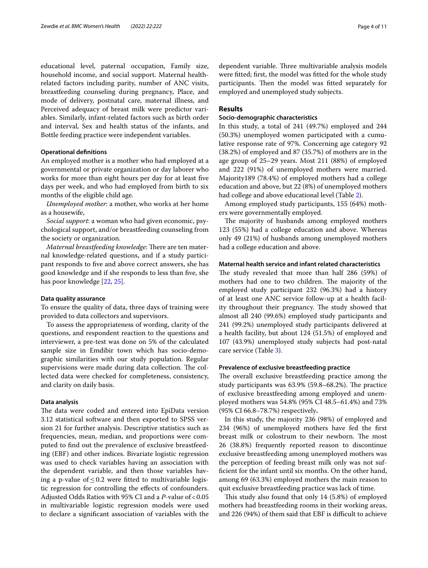educational level, paternal occupation, Family size, household income, and social support. Maternal healthrelated factors including parity, number of ANC visits, breastfeeding counseling during pregnancy, Place, and mode of delivery, postnatal care, maternal illness, and Perceived adequacy of breast milk were predictor variables. Similarly, infant-related factors such as birth order and interval, Sex and health status of the infants, and Bottle feeding practice were independent variables.

## **Operational defnitions**

An employed mother is a mother who had employed at a governmental or private organization or day laborer who works for more than eight hours per day for at least fve days per week, and who had employed from birth to six months of the eligible child age.

*Unemployed mother*: a mother, who works at her home as a housewife,

*Social support*: a woman who had given economic, psychological support, and/or breastfeeding counseling from the society or organization.

*Maternal breastfeeding knowledge: There are ten mater*nal knowledge-related questions, and if a study participant responds to fve and above correct answers, she has good knowledge and if she responds to less than fve, she has poor knowledge [\[22](#page-9-21), [25](#page-9-22)].

#### **Data quality assurance**

To ensure the quality of data, three days of training were provided to data collectors and supervisors.

To assess the appropriateness of wording, clarity of the questions, and respondent reaction to the questions and interviewer, a pre-test was done on 5% of the calculated sample size in Emdibir town which has socio-demographic similarities with our study population. Regular supervisions were made during data collection. The collected data were checked for completeness, consistency, and clarity on daily basis.

## **Data analysis**

The data were coded and entered into EpiData version 3.12 statistical software and then exported to SPSS version 21 for further analysis. Descriptive statistics such as frequencies, mean, median, and proportions were computed to fnd out the prevalence of exclusive breastfeeding (EBF) and other indices. Bivariate logistic regression was used to check variables having an association with the dependent variable, and then those variables having a p-value of  $\leq 0.2$  were fitted to multivariable logistic regression for controlling the efects of confounders. Adjusted Odds Ratios with 95% CI and a *P*-value of <0.05 in multivariable logistic regression models were used to declare a signifcant association of variables with the dependent variable. Three multivariable analysis models were ftted; frst, the model was ftted for the whole study participants. Then the model was fitted separately for employed and unemployed study subjects.

## **Results**

## **Socio‑demographic characteristics**

In this study, a total of 241 (49.7%) employed and 244 (50.3%) unemployed women participated with a cumulative response rate of 97%. Concerning age category 92 (38.2%) of employed and 87 (35.7%) of mothers are in the age group of 25–29 years. Most 211 (88%) of employed and 222 (91%) of unemployed mothers were married. Majority189 (78.4%) of employed mothers had a college education and above, but 22 (8%) of unemployed mothers had college and above educational level (Table [2](#page-4-0)).

Among employed study participants, 155 (64%) mothers were governmentally employed.

The majority of husbands among employed mothers 123 (55%) had a college education and above. Whereas only 49 (21%) of husbands among unemployed mothers had a college education and above.

## **Maternal health service and infant related characteristics**

The study revealed that more than half 286 (59%) of mothers had one to two children. The majority of the employed study participant 232 (96.3%) had a history of at least one ANC service follow-up at a health facility throughout their pregnancy. The study showed that almost all 240 (99.6%) employed study participants and 241 (99.2%) unemployed study participants delivered at a health facility, but about 124 (51.5%) of employed and 107 (43.9%) unemployed study subjects had post-natal care service (Table [3\)](#page-5-0).

## **Prevalence of exclusive breastfeeding practice**

The overall exclusive breastfeeding practice among the study participants was  $63.9\%$  (59.8–68.2%). The practice of exclusive breastfeeding among employed and unemployed mothers was 54.8% (95% CI 48.5–61.4%) and 73% (95% CI 66.8–78.7%) respectively**.**

In this study, the majority 236 (98%) of employed and 234 (96%) of unemployed mothers have fed the frst breast milk or colostrum to their newborn. The most 26 (38.8%) frequently reported reason to discontinue exclusive breastfeeding among unemployed mothers was the perception of feeding breast milk only was not suffcient for the infant until six months. On the other hand, among 69 (63.3%) employed mothers the main reason to quit exclusive breastfeeding practice was lack of time.

This study also found that only  $14$  (5.8%) of employed mothers had breastfeeding rooms in their working areas, and 226 (94%) of them said that EBF is difficult to achieve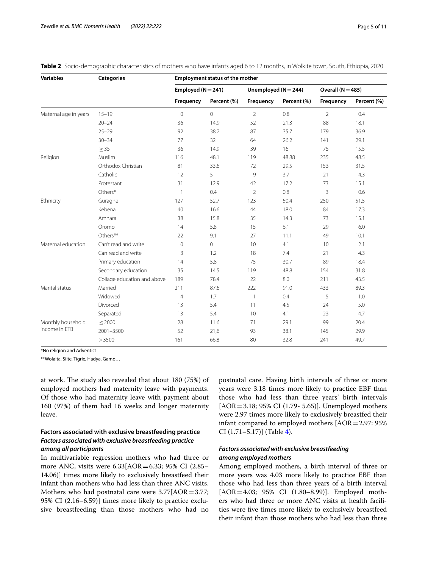| <b>Variables</b>                            | <b>Categories</b>           | <b>Employment status of the mother</b> |             |                          |             |                     |             |  |  |
|---------------------------------------------|-----------------------------|----------------------------------------|-------------|--------------------------|-------------|---------------------|-------------|--|--|
| Religion<br>Ethnicity<br>Maternal education |                             | Employed ( $N = 241$ )                 |             | Unemployed ( $N = 244$ ) |             | Overall $(N = 485)$ |             |  |  |
|                                             |                             | Frequency                              | Percent (%) | Frequency                | Percent (%) | Frequency           | Percent (%) |  |  |
| Maternal age in years                       | $15 - 19$                   | $\mathbf 0$                            | $\Omega$    | $\overline{2}$           | 0.8         | $\overline{2}$      | 0.4         |  |  |
|                                             | $20 - 24$                   | 36                                     | 14.9        | 52                       | 21.3        | 88                  | 18.1        |  |  |
|                                             | $25 - 29$                   | 92                                     | 38.2        | 87                       | 35.7        | 179                 | 36.9        |  |  |
|                                             | $30 - 34$                   | 77                                     | 32          | 64                       | 26.2        | 141                 | 29.1        |  |  |
|                                             | $\geq$ 35                   | 36                                     | 14.9        | 39                       | 16          | 75                  | 15.5        |  |  |
|                                             | Muslim                      | 116                                    | 48.1        | 119                      | 48.88       | 235                 | 48.5        |  |  |
|                                             | Orthodox Christian          | 81                                     | 33.6        | 72                       | 29.5        | 153                 | 31.5        |  |  |
|                                             | Catholic                    | 12                                     | 5           | 9                        | 3.7         | 21                  | 4.3         |  |  |
|                                             | Protestant                  | 31                                     | 12.9        | 42                       | 17.2        | 73                  | 15.1        |  |  |
|                                             | Others*                     | $\overline{\phantom{a}}$               | 0.4         | $\overline{2}$           | 0.8         | 3                   | 0.6         |  |  |
|                                             | Guraghe                     | 127                                    | 52.7        | 123                      | 50.4        | 250                 | 51.5        |  |  |
|                                             | Kebena                      | 40                                     | 16.6        | 44                       | 18.0        | 84                  | 17.3        |  |  |
|                                             | Amhara                      | 38                                     | 15.8        | 35                       | 14.3        | 73                  | 15.1        |  |  |
|                                             | Oromo                       | 14                                     | 5.8         | 15                       | 6.1         | 29                  | 6.0         |  |  |
|                                             | Others**                    | 22                                     | 9.1         | 27                       | 11.1        | 49                  | 10.1        |  |  |
|                                             | Can't read and write        | $\mathbf 0$                            | $\Omega$    | 10                       | 4.1         | 10                  | 2.1         |  |  |
|                                             | Can read and write          | 3                                      | 1.2         | 18                       | 7.4         | 21                  | 4.3         |  |  |
|                                             | Primary education           | 14                                     | 5.8         | 75                       | 30.7        | 89                  | 18.4        |  |  |
|                                             | Secondary education         | 35                                     | 14.5        | 119                      | 48.8        | 154                 | 31.8        |  |  |
|                                             | Collage education and above | 189                                    | 78.4        | 22                       | 8.0         | 211                 | 43.5        |  |  |
| Marital status                              | Married                     | 211                                    | 87.6        | 222                      | 91.0        | 433                 | 89.3        |  |  |
|                                             | Widowed                     | $\overline{4}$                         | 1.7         | $\mathbf{1}$             | 0.4         | 5                   | 1.0         |  |  |
|                                             | Divorced                    | 13                                     | 5.4         | 11                       | 4.5         | 24                  | 5.0         |  |  |
|                                             | Separated                   | 13                                     | 5.4         | 10                       | 4.1         | 23                  | 4.7         |  |  |
| Monthly household                           | $\leq$ 2000                 | 28                                     | 11.6        | 71                       | 29.1        | 99                  | 20.4        |  |  |
| income in ETB                               | 2001-3500                   | 52                                     | 21,6        | 93                       | 38.1        | 145                 | 29.9        |  |  |
|                                             | >3500                       | 161                                    | 66.8        | 80                       | 32.8        | 241                 | 49.7        |  |  |

## <span id="page-4-0"></span>**Table 2** Socio-demographic characteristics of mothers who have infants aged 6 to 12 months, in Wolkite town, South, Ethiopia, 2020

\*No religion and Adventist

\*\*Wolaita, Silte, Tigrie, Hadya, Gamo…

at work. The study also revealed that about 180 (75%) of employed mothers had maternity leave with payments. Of those who had maternity leave with payment about 160 (97%) of them had 16 weeks and longer maternity leave.

## **Factors associated with exclusive breastfeeding practice** *Factors associated with exclusive breastfeeding practice among all participants*

In multivariable regression mothers who had three or more ANC, visits were 6.33[AOR=6.33; 95% CI (2.85– 14.06)] times more likely to exclusively breastfeed their infant than mothers who had less than three ANC visits. Mothers who had postnatal care were  $3.77$ [AOR=3.77; 95% CI (2.16–6.59)] times more likely to practice exclusive breastfeeding than those mothers who had no postnatal care. Having birth intervals of three or more years were 3.18 times more likely to practice EBF than those who had less than three years' birth intervals [AOR=3.18; 95% CI (1.79- 5.65)]. Unemployed mothers were 2.97 times more likely to exclusively breastfed their infant compared to employed mothers [AOR=2.97: 95% CI (1.71–5.17)] (Table [4\)](#page-6-0).

## *Factors associated with exclusive breastfeeding among employed mothers*

Among employed mothers, a birth interval of three or more years was 4.03 more likely to practice EBF than those who had less than three years of a birth interval [AOR=4.03; 95% CI (1.80–8.99)]. Employed mothers who had three or more ANC visits at health facilities were fve times more likely to exclusively breastfeed their infant than those mothers who had less than three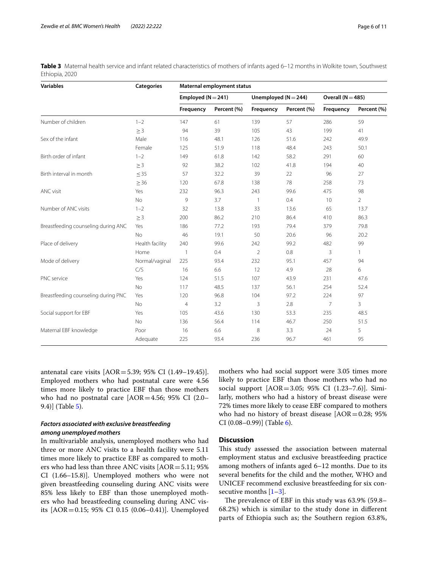| <b>Variables</b>                    | <b>Categories</b> | Maternal employment status |             |                          |             |                       |                |  |
|-------------------------------------|-------------------|----------------------------|-------------|--------------------------|-------------|-----------------------|----------------|--|
|                                     |                   | Employed ( $N = 241$ )     |             | Unemployed ( $N = 244$ ) |             | Overall ( $N = 485$ ) |                |  |
|                                     |                   | Frequency                  | Percent (%) | Frequency                | Percent (%) | Frequency             | Percent (%)    |  |
| Number of children                  | $1 - 2$           | 147                        | 61          | 139                      | 57          | 286                   | 59             |  |
|                                     | $\geq 3$          | 94                         | 39          | 105                      | 43          | 199                   | 41             |  |
| Sex of the infant                   | Male              | 116                        | 48.1        | 126                      | 51.6        | 242                   | 49.9           |  |
|                                     | Female            | 125                        | 51.9        | 118                      | 48.4        | 243                   | 50.1           |  |
| Birth order of infant               | $1 - 2$           | 149                        | 61.8        | 142                      | 58.2        | 291                   | 60             |  |
|                                     | $\geq$ 3          | 92                         | 38.2        | 102                      | 41.8        | 194                   | 40             |  |
| Birth interval in month             | $\leq$ 35         | 57                         | 32.2        | 39                       | 22          | 96                    | 27             |  |
|                                     | $\geq$ 36         | 120                        | 67.8        | 138                      | 78          | 258                   | 73             |  |
| ANC visit                           | Yes               | 232                        | 96.3        | 243                      | 99.6        | 475                   | 98             |  |
|                                     | No                | 9                          | 3.7         | 1                        | 0.4         | 10                    | $\overline{2}$ |  |
| Number of ANC visits                | $1 - 2$           | 32                         | 13.8        | 33                       | 13.6        | 65                    | 13.7           |  |
|                                     | $\geq$ 3          | 200                        | 86.2        | 210                      | 86.4        | 410                   | 86.3           |  |
| Breastfeeding counseling during ANC | Yes               | 186                        | 77.2        | 193                      | 79.4        | 379                   | 79.8           |  |
|                                     | No                | 46                         | 19.1        | 50                       | 20.6        | 96                    | 20.2           |  |
| Place of delivery                   | Health facility   | 240                        | 99.6        | 242                      | 99.2        | 482                   | 99             |  |
|                                     | Home              | $\overline{1}$             | 0.4         | $\overline{2}$           | 0.8         | 3                     |                |  |
| Mode of delivery                    | Normal/vaginal    | 225                        | 93.4        | 232                      | 95.1        | 457                   | 94             |  |
|                                     | C/S               | 16                         | 6.6         | 12                       | 4.9         | 28                    | 6              |  |
| PNC service                         | Yes               | 124                        | 51.5        | 107                      | 43.9        | 231                   | 47.6           |  |
|                                     | No                | 117                        | 48.5        | 137                      | 56.1        | 254                   | 52.4           |  |
| Breastfeeding counseling during PNC | Yes               | 120                        | 96.8        | 104                      | 97.2        | 224                   | 97             |  |
|                                     | No                | $\overline{4}$             | 3.2         | 3                        | 2.8         | $\overline{7}$        | $\overline{3}$ |  |
| Social support for EBF              | Yes               | 105                        | 43.6        | 130                      | 53.3        | 235                   | 48.5           |  |
|                                     | No                | 136                        | 56.4        | 114                      | 46.7        | 250                   | 51.5           |  |
| Maternal EBF knowledge              | Poor              | 16                         | 6.6         | 8                        | 3.3         | 24                    | 5              |  |
|                                     | Adequate          | 225                        | 93.4        | 236                      | 96.7        | 461                   | 95             |  |

<span id="page-5-0"></span>**Table 3** Maternal health service and infant related characteristics of mothers of infants aged 6–12 months in Wolkite town, Southwest Ethiopia, 2020

antenatal care visits [AOR=5.39; 95% CI (1.49–19.45)]. Employed mothers who had postnatal care were 4.56 times more likely to practice EBF than those mothers who had no postnatal care [AOR=4.56; 95% CI (2.0– 9.4)] (Table [5](#page-6-1)).

## *Factors associated with exclusive breastfeeding among unemployed mothers*

In multivariable analysis, unemployed mothers who had three or more ANC visits to a health facility were 5.11 times more likely to practice EBF as compared to mothers who had less than three ANC visits [AOR=5.11; 95% CI (1.66–15.8)]. Unemployed mothers who were not given breastfeeding counseling during ANC visits were 85% less likely to EBF than those unemployed mothers who had breastfeeding counseling during ANC visits [AOR=0.15; 95% CI 0.15 (0.06–0.41)]. Unemployed mothers who had social support were 3.05 times more likely to practice EBF than those mothers who had no social support [AOR=3.05; 95% CI (1.23–7.6)]. Similarly, mothers who had a history of breast disease were 72% times more likely to cease EBF compared to mothers who had no history of breast disease  $[AOR=0.28; 95%$ CI (0.08–0.99)] (Table [6\)](#page-7-0).

## **Discussion**

This study assessed the association between maternal employment status and exclusive breastfeeding practice among mothers of infants aged 6–12 months. Due to its several benefts for the child and the mother, WHO and UNICEF recommend exclusive breastfeeding for six consecutive months  $[1-3]$  $[1-3]$ .

The prevalence of EBF in this study was 63.9% (59.8– 68.2%) which is similar to the study done in diferent parts of Ethiopia such as; the Southern region 63.8%,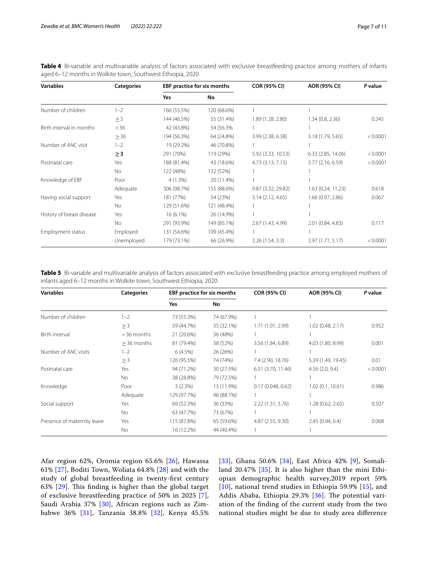<span id="page-6-0"></span>**Table 4** Bi-variable and multivariable analysis of factors associated with exclusive breastfeeding practice among mothers of infants aged 6–12 months in Wolkite town, Southwest Ethiopia, 2020

| <b>Variables</b>          | <b>Categories</b> | EBF practice for six months |             | <b>COR (95% CI)</b> | AOR (95% CI)       | P value  |
|---------------------------|-------------------|-----------------------------|-------------|---------------------|--------------------|----------|
|                           |                   | Yes                         | No          |                     |                    |          |
| Number of children        | $1 - 2$           | 166 (53.5%)                 | 120 (68.6%) |                     |                    |          |
|                           | $\geq$ 3          | 144 (46.5%)                 | 55 (31.4%)  | 1.89 (1.28, 2.80)   | 1.34(0.8, 2.36)    | 0.245    |
| Birth interval in months  | < 36              | 42 (43.8%)                  | 54 (56.3%)  |                     |                    |          |
|                           | $\geq$ 36         | 194 (56.3%)                 | 64 (24.8%)  | 3.99 (2.38, 6.38)   | 3.18 (1.79, 5.65)  | < 0.0001 |
| Number of ANC visit       | $1 - 2$           | 19 (29.2%)                  | 46 (70.8%)  |                     |                    |          |
|                           | $\geq$ 3          | 291 (70%)                   | 119 (29%)   | 5.92 (3.33, 10.53)  | 6.33 (2.85, 14.06) | < 0.0001 |
| Postnatal care            | Yes               | 188 (81.4%)                 | 43 (18.6%)  | 4.73 (3.13, 7.15)   | 3.77 (2.16, 6.59)  | < 0.0001 |
|                           | No.               | 122 (48%)                   | 132 (52%)   |                     |                    |          |
| Knowledge of EBF          | Poor              | $4(1.3\%)$                  | 20 (11.4%)  |                     |                    |          |
|                           | Adequate          | 306 (98.7%)                 | 155 (88.6%) | 9.87 (3.32, 29.82)  | 1.63 (0.24, 11.23) | 0.618    |
| Having social support     | Yes               | 181 (77%)                   | 54 (23%)    | 3.14(2.12, 4.65)    | 1.66(0.97, 2.86)   | 0.067    |
|                           | No.               | 129 (51.6%)                 | 121 (48.4%) |                     |                    |          |
| History of breast disease | Yes               | $16(6.1\%)$                 | 26 (14.9%)  |                     |                    |          |
|                           | No.               | 291 (93.9%)                 | 149 (85.1%) | 2.67 (1.43, 4.99)   | 2.01 (0.84, 4.83)  | 0.117    |
| <b>Employment status</b>  | Employed          | 131 (54.6%)                 | 109 (45.4%) |                     |                    |          |
|                           | Unemployed        | 179 (73.1%)                 | 66 (26.9%)  | 2.26(1.54, 3.3)     | 2.97 (1.71, 5.17)  | < 0.0001 |

<span id="page-6-1"></span>**Table 5** Bi-variable and multivariable analysis of factors associated with exclusive breastfeeding practice among employed mothers of infants aged 6–12 months in Wolkite town, Southwest Ethiopia, 2020

| <b>Variables</b>            | <b>Categories</b> | <b>EBF practice for six months</b> |            | <b>COR (95% CI)</b> | AOR (95% CI)       | P value  |  |
|-----------------------------|-------------------|------------------------------------|------------|---------------------|--------------------|----------|--|
|                             |                   | Yes                                | No         |                     |                    |          |  |
| Number of children          | $1 - 2$           | 73 (55.3%)                         | 74 (67.9%) |                     |                    |          |  |
|                             | $\geq$ 3          | 59 (44.7%)                         | 35 (32.1%) | 1.71 (1.01, 2.99)   | 1.02 (0.48, 2.17)  | 0.952    |  |
| Birth interval              | $<$ 36 months     | 21 (20.6%)                         | 36 (48%)   |                     |                    |          |  |
|                             | $>$ 36 months     | 81 (79.4%)                         | 38 (52%)   | 3.56 (1.84, 6.89)   | 4.03 (1.80, 8.99)  | 0.001    |  |
| Number of ANC visits        | $1 - 2$           | 6(4.5%)                            | 26 (26%)   |                     |                    |          |  |
|                             | $\geq$ 3          | 126 (95.5%)                        | 74 (74%)   | 7.4 (2.90, 18.76)   | 5.39 (1.49, 19.45) | 0.01     |  |
| Postnatal care              | Yes               | 94 (71.2%)                         | 30 (27.5%) | 6.51 (3.70, 11.46)  | 4.56(2.0, 9.4)     | < 0.0001 |  |
|                             | No                | 38 (28.8%)                         | 79 (72.5%) |                     |                    |          |  |
| Knowledge                   | Poor              | 3(2.3%)                            | 13 (11.9%) | 0.17(0.048, 0.62)   | 1.02(0.1, 10.61)   | 0.986    |  |
|                             | Adequate          | 129 (97.7%)                        | 96 (88.1%) |                     |                    |          |  |
| Social support              | Yes               | 69 (52.3%)                         | 36 (33%)   | 2.22 (1.31, 3.76)   | 1.28 (0.62, 2.65)  | 0.507    |  |
|                             | No                | 63 (47.7%)                         | 73 (67%)   |                     |                    |          |  |
| Presence of maternity leave | Yes               | 115 (87.8%)                        | 65 (59.6%) | 4.87 (2.55, 9.30)   | 2.45 (0.94, 6.4)   | 0.068    |  |
|                             | No                | 16 (12.2%)                         | 44 (40.4%) |                     |                    |          |  |

Afar region 62%, Oromia region 65.6% [\[26](#page-9-23)], Hawassa 61% [[27\]](#page-9-24), Boditi Town, Woliata 64.8% [\[28\]](#page-9-25) and with the study of global breastfeeding in twenty-frst century 63%  $[29]$  $[29]$ . This finding is higher than the global target of exclusive breastfeeding practice of 50% in 2025 [[7\]](#page-9-6), Saudi Arabia 37% [\[30](#page-10-1)], African regions such as Zimbabwe 36% [[31](#page-10-2)], Tanzania 38.8% [\[32](#page-10-3)], Kenya 45.5% [[33](#page-10-4)], Ghana 50.6% [[34\]](#page-10-5), East Africa 42% [[9\]](#page-9-8), Somaliland 20.47% [\[35](#page-10-6)]. It is also higher than the mini Ethiopian demographic health survey,2019 report 59% [[10](#page-9-9)], national trend studies in Ethiopia 59.9% [\[15](#page-9-14)], and Addis Ababa, Ethiopia 29.3% [[36\]](#page-10-7). The potential variation of the fnding of the current study from the two national studies might be due to study area diference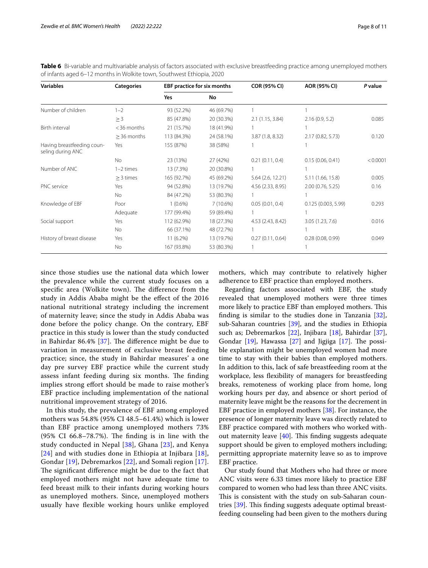| <b>Variables</b>                                | <b>Categories</b> | <b>EBF practice for six months</b> |            | <b>COR (95% CI)</b> | AOR (95% CI)       | P value  |
|-------------------------------------------------|-------------------|------------------------------------|------------|---------------------|--------------------|----------|
|                                                 |                   | Yes                                | No         |                     |                    |          |
| Number of children                              | $1 - 2$           | 93 (52.2%)                         | 46 (69.7%) |                     |                    |          |
|                                                 | $\geq$ 3          | 85 (47.8%)                         | 20 (30.3%) | 2.1(1.15, 3.84)     | 2.16(0.9, 5.2)     | 0.085    |
| Birth interval                                  | $<$ 36 months     | 21 (15.7%)                         | 18 (41.9%) |                     |                    |          |
|                                                 | $>$ 36 months     | 113 (84.3%)                        | 24 (58.1%) | 3.87(1.8, 8.32)     | 2.17 (0.82, 5.73)  | 0.120    |
| Having breastfeeding coun-<br>seling during ANC | Yes               | 155 (87%)                          | 38 (58%)   |                     |                    |          |
|                                                 | No                | 23 (13%)                           | 27 (42%)   | 0.21(0.11, 0.4)     | 0.15(0.06, 0.41)   | < 0.0001 |
| Number of ANC                                   | $1-2$ times       | 13 (7.3%)                          | 20 (30.8%) |                     |                    |          |
|                                                 | $\geq$ 3 times    | 165 (92.7%)                        | 45 (69.2%) | 5.64 (2.6, 12.21)   | 5.11 (1.66, 15.8)  | 0.005    |
| PNC service                                     | Yes               | 94 (52.8%)                         | 13 (19.7%) | 4.56 (2.33, 8.95)   | 2.00(0.76, 5.25)   | 0.16     |
|                                                 | No                | 84 (47.2%)                         | 53 (80.3%) |                     |                    |          |
| Knowledge of EBF                                | Poor              | $1(0.6\%)$                         | 7(10.6%)   | 0.05(0.01, 0.4)     | 0.125(0.003, 5.99) | 0.293    |
|                                                 | Adequate          | 177 (99.4%)                        | 59 (89.4%) |                     |                    |          |
| Social support                                  | Yes               | 112 (62.9%)                        | 18 (27.3%) | 4.53 (2.43, 8.42)   | 3.05 (1.23, 7.6)   | 0.016    |
|                                                 | <b>No</b>         | 66 (37.1%)                         | 48 (72.7%) |                     |                    |          |
| History of breast disease                       | Yes               | $11(6.2\%)$                        | 13 (19.7%) | 0.27(0.11, 0.64)    | 0.28(0.08, 0.99)   | 0.049    |
|                                                 | <b>No</b>         | 167 (93.8%)                        | 53 (80.3%) |                     |                    |          |

<span id="page-7-0"></span>**Table 6** Bi-variable and multivariable analysis of factors associated with exclusive breastfeeding practice among unemployed mothers of infants aged 6–12 months in Wolkite town, Southwest Ethiopia, 2020

since those studies use the national data which lower the prevalence while the current study focuses on a specific area (Wolkite town). The difference from the study in Addis Ababa might be the efect of the 2016 national nutritional strategy including the increment of maternity leave; since the study in Addis Ababa was done before the policy change. On the contrary, EBF practice in this study is lower than the study conducted in Bahirdar 86.4%  $[37]$  $[37]$ . The difference might be due to variation in measurement of exclusive breast feeding practice; since, the study in Bahirdar measures' a one day pre survey EBF practice while the current study assess infant feeding during six months. The finding implies strong effort should be made to raise mother's EBF practice including implementation of the national nutritional improvement strategy of 2016.

In this study, the prevalence of EBF among employed mothers was 54.8% (95% CI 48.5–61.4%) which is lower than EBF practice among unemployed mothers 73% (95% CI 66.8–78.7%). The finding is in line with the study conducted in Nepal  $[38]$ , Ghana  $[23]$  $[23]$ , and Kenya [[24](#page-9-20)] and with studies done in Ethiopia at Injibara [[18\]](#page-9-27), Gondar [[19\]](#page-9-17), Debremarkos [[22](#page-9-21)], and Somali region [[17\]](#page-9-16). The significant difference might be due to the fact that employed mothers might not have adequate time to feed breast milk to their infants during working hours as unemployed mothers. Since, unemployed mothers usually have fexible working hours unlike employed mothers, which may contribute to relatively higher adherence to EBF practice than employed mothers.

Regarding factors associated with EBF, the study revealed that unemployed mothers were three times more likely to practice EBF than employed mothers. This finding is similar to the studies done in Tanzania  $[32]$  $[32]$ , sub-Saharan countries [[39](#page-10-10)], and the studies in Ethiopia such as; Debremarkos [\[22\]](#page-9-21), Injibara [[18](#page-9-27)], Bahirdar [\[37](#page-10-8)], Gondar  $[19]$  $[19]$ , Hawassa  $[27]$  $[27]$  and Jigjiga  $[17]$ . The possible explanation might be unemployed women had more time to stay with their babies than employed mothers. In addition to this, lack of safe breastfeeding room at the workplace, less fexibility of managers for breastfeeding breaks, remoteness of working place from home, long working hours per day, and absence or short period of maternity leave might be the reasons for the decrement in EBF practice in employed mothers [\[38](#page-10-9)]. For instance, the presence of longer maternity leave was directly related to EBF practice compared with mothers who worked without maternity leave  $[40]$  $[40]$ . This finding suggests adequate support should be given to employed mothers including; permitting appropriate maternity leave so as to improve EBF practice.

Our study found that Mothers who had three or more ANC visits were 6.33 times more likely to practice EBF compared to women who had less than three ANC visits. This is consistent with the study on sub-Saharan countries  $[39]$  $[39]$ . This finding suggests adequate optimal breastfeeding counseling had been given to the mothers during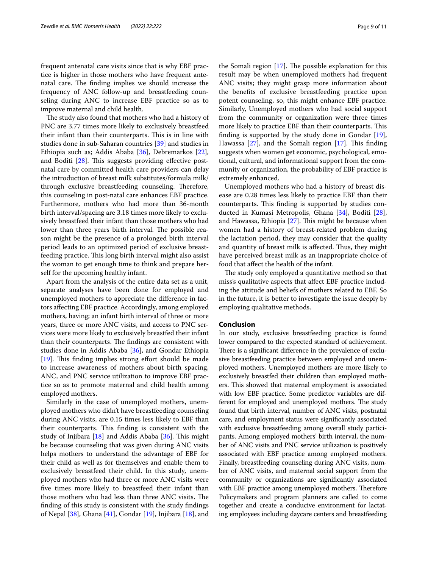frequent antenatal care visits since that is why EBF practice is higher in those mothers who have frequent antenatal care. The finding implies we should increase the frequency of ANC follow-up and breastfeeding counseling during ANC to increase EBF practice so as to improve maternal and child health.

The study also found that mothers who had a history of PNC are 3.77 times more likely to exclusively breastfeed their infant than their counterparts. This is in line with studies done in sub-Saharan countries [\[39](#page-10-10)] and studies in Ethiopia such as; Addis Ababa [[36](#page-10-7)], Debremarkos [\[22](#page-9-21)], and Boditi  $[28]$  $[28]$  $[28]$ . This suggests providing effective postnatal care by committed health care providers can delay the introduction of breast milk substitutes/formula milk/ through exclusive breastfeeding counseling. Therefore, this counseling in post-natal care enhances EBF practice. Furthermore, mothers who had more than 36-month birth interval/spacing are 3.18 times more likely to exclusively breastfeed their infant than those mothers who had lower than three years birth interval. The possible reason might be the presence of a prolonged birth interval period leads to an optimized period of exclusive breastfeeding practice. This long birth interval might also assist the woman to get enough time to think and prepare herself for the upcoming healthy infant.

Apart from the analysis of the entire data set as a unit, separate analyses have been done for employed and unemployed mothers to appreciate the diference in factors afecting EBF practice. Accordingly, among employed mothers, having; an infant birth interval of three or more years, three or more ANC visits, and access to PNC services were more likely to exclusively breastfed their infant than their counterparts. The findings are consistent with studies done in Addis Ababa [\[36\]](#page-10-7), and Gondar Ethiopia  $[19]$  $[19]$ . This finding implies strong effort should be made to increase awareness of mothers about birth spacing, ANC, and PNC service utilization to improve EBF practice so as to promote maternal and child health among employed mothers.

Similarly in the case of unemployed mothers, unemployed mothers who didn't have breastfeeding counseling during ANC visits, are 0.15 times less likely to EBF than their counterparts. This finding is consistent with the study of Injibara  $[18]$  $[18]$  and Addis Ababa  $[36]$  $[36]$ . This might be because counseling that was given during ANC visits helps mothers to understand the advantage of EBF for their child as well as for themselves and enable them to exclusively breastfeed their child. In this study, unemployed mothers who had three or more ANC visits were fve times more likely to breastfeed their infant than those mothers who had less than three ANC visits. The fnding of this study is consistent with the study fndings of Nepal [\[38](#page-10-9)], Ghana [[41](#page-10-12)], Gondar [[19](#page-9-17)], Injibara [[18](#page-9-27)], and the Somali region  $[17]$  $[17]$ . The possible explanation for this result may be when unemployed mothers had frequent ANC visits; they might grasp more information about the benefts of exclusive breastfeeding practice upon potent counseling, so, this might enhance EBF practice. Similarly, Unemployed mothers who had social support from the community or organization were three times more likely to practice EBF than their counterparts. This fnding is supported by the study done in Gondar [\[19](#page-9-17)], Hawassa  $[27]$  $[27]$ , and the Somali region  $[17]$  $[17]$ . This finding suggests when women get economic, psychological, emotional, cultural, and informational support from the community or organization, the probability of EBF practice is extremely enhanced.

Unemployed mothers who had a history of breast disease are 0.28 times less likely to practice EBF than their counterparts. This finding is supported by studies conducted in Kumasi Metropolis, Ghana [\[34](#page-10-5)], Boditi [\[28](#page-9-25)], and Hawassa, Ethiopia  $[27]$  $[27]$  $[27]$ . This might be because when women had a history of breast-related problem during the lactation period, they may consider that the quality and quantity of breast milk is affected. Thus, they might have perceived breast milk as an inappropriate choice of food that afect the health of the infant.

The study only employed a quantitative method so that miss's qualitative aspects that afect EBF practice including the attitude and beliefs of mothers related to EBF. So in the future, it is better to investigate the issue deeply by employing qualitative methods.

## **Conclusion**

In our study, exclusive breastfeeding practice is found lower compared to the expected standard of achievement. There is a significant difference in the prevalence of exclusive breastfeeding practice between employed and unemployed mothers. Unemployed mothers are more likely to exclusively breastfed their children than employed mothers. This showed that maternal employment is associated with low EBF practice. Some predictor variables are different for employed and unemployed mothers. The study found that birth interval, number of ANC visits, postnatal care, and employment status were signifcantly associated with exclusive breastfeeding among overall study participants. Among employed mothers' birth interval, the number of ANC visits and PNC service utilization is positively associated with EBF practice among employed mothers. Finally, breastfeeding counseling during ANC visits, number of ANC visits, and maternal social support from the community or organizations are signifcantly associated with EBF practice among unemployed mothers. Therefore Policymakers and program planners are called to come together and create a conducive environment for lactating employees including daycare centers and breastfeeding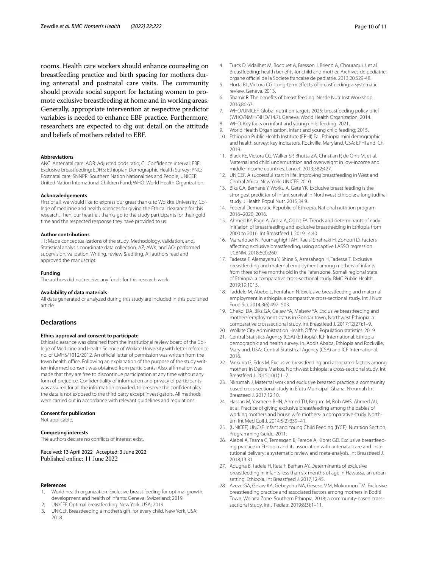rooms. Health care workers should enhance counseling on breastfeeding practice and birth spacing for mothers during antenatal and postnatal care visits. The community should provide social support for lactating women to promote exclusive breastfeeding at home and in working areas. Generally, appropriate intervention at respective predictor variables is needed to enhance EBF practice. Furthermore, researchers are expected to dig out detail on the attitude and beliefs of mothers related to EBF.

#### **Abbreviations**

ANC: Antenatal care; AOR: Adjusted odds ratio; CI: Confdence interval; EBF: Exclusive breastfeeding; EDHS: Ethiopian Demographic Health Survey; PNC: Postnatal care; SNNPR: Southern Nation Nationalities and People; UNICEF: United Nation International Children Fund; WHO: World Health Organization.

#### **Acknowledgements**

First of all, we would like to express our great thanks to Wolkite University, College of medicine and health sciences for giving the Ethical clearance for this research. Then, our heartfelt thanks go to the study participants for their gold time and the respected response they have provided to us.

#### **Author contributions**

TT: Made conceptualizations of the study, Methodology, validation, and**,** Statistical analysis coordinate data collection. AZ, AWK, and AO: performed supervision, validation, Writing, review & editing. All authors read and approved the manuscript.

#### **Funding**

The authors did not receive any funds for this research work.

#### **Availability of data materials**

All data generated or analyzed during this study are included in this published article.

#### **Declarations**

#### **Ethics approval and consent to participate**

Ethical clearance was obtained from the institutional review board of the College of Medicine and Health Science of Wolkite University with letter reference no. of CMHS/1012/2012. An official letter of permission was written from the town health office. Following an explanation of the purpose of the study written informed consent was obtained from participants. Also, affirmation was made that they are free to discontinue participation at any time without any form of prejudice. Confdentiality of information and privacy of participants was assured for all the information provided, to preserve the confdentiality the data is not exposed to the third party except investigators. All methods were carried out in accordance with relevant guidelines and regulations.

#### **Consent for publication**

Not applicable.

#### **Competing interests**

The authors declare no conficts of interest exist.

Received: 13 April 2022 Accepted: 3 June 2022

#### **References**

- <span id="page-9-0"></span>1. World health organization. Exclusive breast feeding for optimal growth, development and health of infants: Geneva, Swizerland; 2019.
- <span id="page-9-1"></span>2. UNICEF. Optimal breastfeeding: New York, USA; 2019.
- <span id="page-9-2"></span>UNICEF. Breastfeeding a mother's gift, for every child. New York, USA; 2018.
- <span id="page-9-3"></span>4. Turck D, Vidailhet M, Bocquet A, Bresson J, Briend A, Chouraqui J, et al. Breastfeeding: health benefts for child and mother. Archives de pediatrie: organe officiel de la Societe francaise de pediatrie. 2013;20:S29-48.
- <span id="page-9-4"></span>5. Horta BL, Victora CG. Long-term efects of breastfeeding: a systematic review. Geneva. 2013.
- <span id="page-9-5"></span>6. Shamir R. The benefts of breast feeding. Nestle Nutr Inst Workshop. 2016;86:67.
- <span id="page-9-6"></span>7. WHO/UNICEF. Global nutrition targets 2025: breastfeeding policy brief (WHO/NMH/NHD/14.7). Geneva. World Health Organization. 2014.
- <span id="page-9-7"></span>8. WHO. Key facts on infant and young child feeding. 2021.
- <span id="page-9-8"></span>9. World Health Organization. Infant and young child feeding; 2015.
- <span id="page-9-9"></span>10. Ethiopian Public Health Institute (EPHI) EaI. Ethiopia mini demographic and health survey: key indicators. Rockville, Maryland, USA: EPHI and ICF. 2019.
- <span id="page-9-10"></span>11. Black RE, Victora CG, Walker SP, Bhutta ZA, Christian P, de Onis M, et al. Maternal and child undernutrition and overweight in low-income and middle-income countries. Lancet. 2013;382:427.
- <span id="page-9-11"></span>12. UNICEF. A successful start in life: Improving breastfeeding in West and Central Africa. New York: UNICEF. 2010.
- <span id="page-9-12"></span>13. Biks GA, Berhane Y, Worku A, Gete YK. Exclusive breast feeding is the strongest predictor of infant survival in Northwest Ethiopia: a longitudinal study. J Health Popul Nutr. 2015;34:9.
- <span id="page-9-13"></span>14. Federal Democratic Republic of Ethiopia. National nutrition program 2016–2020; 2016.
- <span id="page-9-14"></span>15. Ahmed KY, Page A, Arora A, Ogbo FA. Trends and determinants of early initiation of breastfeeding and exclusive breastfeeding in Ethiopia from 2000 to 2016. Int Breastfeed J. 2019;14:40.
- <span id="page-9-15"></span>16. Maharlouei N, Pourhaghighi AH, Raeisi Shahraki H, Zohoori D. Factors afecting exclusive breastfeeding, using adaptive LASSO regression. IJCBNM. 2018;6(3):260.
- <span id="page-9-16"></span>17. Tadesse F, Alemayehu Y, Shine S, Asresahegn H, Tadesse T. Exclusive breastfeeding and maternal employment among mothers of infants from three to fve months old in the Fafan zone, Somali regional state of Ethiopia: a comparative cross-sectional study. BMC Public Health. 2019;19:1015.
- <span id="page-9-27"></span>18. Taddele M, Abebe L, Fentahun N. Exclusive breastfeeding and maternal employment in ethiopia: a comparative cross-sectional study. Int J Nutr Food Sci. 2014;3(6):497–503.
- <span id="page-9-17"></span>19. Chekol DA, Biks GA, Gelaw YA, Melsew YA. Exclusive breastfeeding and mothers' employment status in Gondar town, Northwest Ethiopia: a comparative crosssectional study. Int Breastfeed J. 2017;12(27):1–9.
- <span id="page-9-18"></span>20. Wolkite City Administration Health Office. Population statistics. 2019.
- <span id="page-9-19"></span>21. Central Statistics Agency (CSA) (Ethiopia), ICF International. Ethiopia demographic and health survey. In. Addis Ababa, Ethiopia and Rockville, Maryland, USA:. Central Statistical Agency (CSA) and ICF International. 2016.
- <span id="page-9-21"></span>22. Mekuria G, Edris M. Exclusive breastfeeding and associated factors among mothers in Debre Markos, Northwest Ethiopia: a cross-sectional study. Int Breastfeed J. 2015;10(1):1–7.
- <span id="page-9-26"></span>23. Nkrumah J. Maternal work and exclusive breasted practice: a community based cross-sectional study in Efutu Municipal, Ghana. Nkrumah Int Breasteed J. 2017;12:10.
- <span id="page-9-20"></span>24. Hassan M, Yasmeen BHN, Ahmed TU, Begum M, Rob AWS, Ahmed AU, et al. Practice of giving exclusive breastfeeding among the babies of working mothers and house wife mothers- a comparative study. Northern Int Med Coll J. 2014;5(2):339–41.
- <span id="page-9-22"></span>25. (UNICEF) UNCsF. Infant and Young Child Feeding (IYCF). Nutrition Section, Programming Guide. 2011.
- <span id="page-9-23"></span>26. Alebel A, Tesma C, Temesgen B, Ferede A, Kibret GD. Exclusive breastfeeding practice in Ethiopia and its association with antenatal care and institutional delivery: a systematic review and meta-analysis. Int Breastfeed J. 2018;13:31.
- <span id="page-9-24"></span>27. Adugna B, Tadele H, Reta F, Berhan AY. Determinants of exclusive breastfeeding in infants less than six months of age in Hawassa, an urban setting, Ethiopia. Int Breastfeed J. 2017;12:45.
- <span id="page-9-25"></span>28. Azeze GA, Gelaw KA, Gebeyehu NA, Gesese MM, Mokonnon TM. Exclusive breastfeeding practice and associated factors among mothers in Boditi Town, Wolaita Zone, Southern Ethiopia, 2018: a community-based crosssectional study. Int J Pediatr. 2019;8(3):1–11.